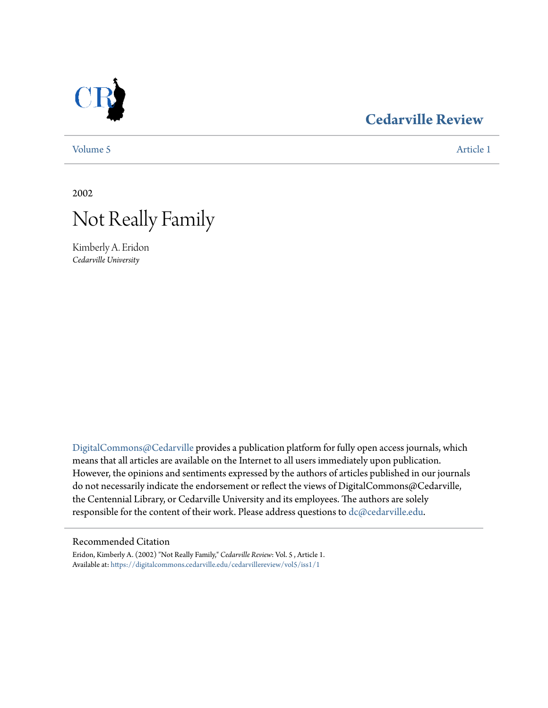

## **[Cedarville Review](https://digitalcommons.cedarville.edu/cedarvillereview?utm_source=digitalcommons.cedarville.edu%2Fcedarvillereview%2Fvol5%2Fiss1%2F1&utm_medium=PDF&utm_campaign=PDFCoverPages)**

[Volume 5](https://digitalcommons.cedarville.edu/cedarvillereview/vol5?utm_source=digitalcommons.cedarville.edu%2Fcedarvillereview%2Fvol5%2Fiss1%2F1&utm_medium=PDF&utm_campaign=PDFCoverPages) [Article 1](https://digitalcommons.cedarville.edu/cedarvillereview/vol5/iss1/1?utm_source=digitalcommons.cedarville.edu%2Fcedarvillereview%2Fvol5%2Fiss1%2F1&utm_medium=PDF&utm_campaign=PDFCoverPages)

2002



Kimberly A. Eridon *Cedarville University*

[DigitalCommons@Cedarville](http://digitalcommons.cedarville.edu) provides a publication platform for fully open access journals, which means that all articles are available on the Internet to all users immediately upon publication. However, the opinions and sentiments expressed by the authors of articles published in our journals do not necessarily indicate the endorsement or reflect the views of DigitalCommons@Cedarville, the Centennial Library, or Cedarville University and its employees. The authors are solely responsible for the content of their work. Please address questions to [dc@cedarville.edu](mailto:dc@cedarville.edu).

### Recommended Citation

Eridon, Kimberly A. (2002) "Not Really Family," *Cedarville Review*: Vol. 5 , Article 1. Available at: [https://digitalcommons.cedarville.edu/cedarvillereview/vol5/iss1/1](https://digitalcommons.cedarville.edu/cedarvillereview/vol5/iss1/1?utm_source=digitalcommons.cedarville.edu%2Fcedarvillereview%2Fvol5%2Fiss1%2F1&utm_medium=PDF&utm_campaign=PDFCoverPages)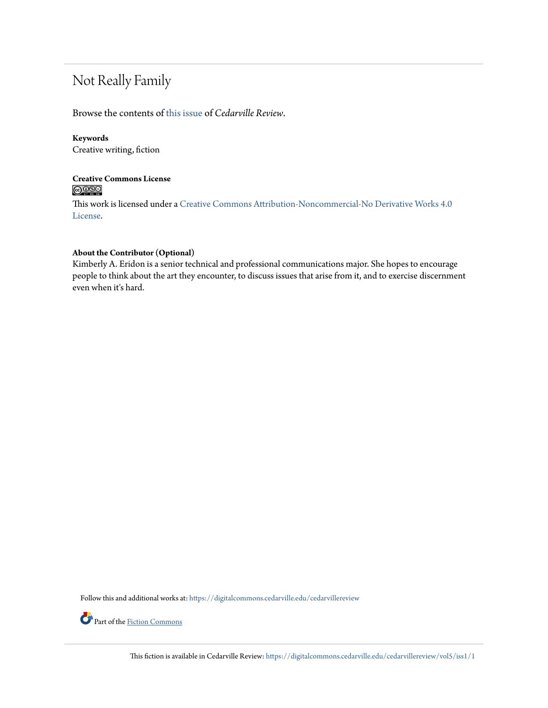# Not Really Family

Browse the contents of [this issue](https://digitalcommons.cedarville.edu/cedarvillereview/vol5/iss1) of *Cedarville Review*.

### **Keywords**

Creative writing, fiction

## **Creative Commons License**  $\bigcirc$   $\circ$

This work is licensed under a [Creative Commons Attribution-Noncommercial-No Derivative Works 4.0](http://creativecommons.org/licenses/by-nc-nd/4.0/) [License.](http://creativecommons.org/licenses/by-nc-nd/4.0/)

## **About the Contributor (Optional)**

Kimberly A. Eridon is a senior technical and professional communications major. She hopes to encourage people to think about the art they encounter, to discuss issues that arise from it, and to exercise discernment even when it's hard.

Follow this and additional works at: [https://digitalcommons.cedarville.edu/cedarvillereview](https://digitalcommons.cedarville.edu/cedarvillereview?utm_source=digitalcommons.cedarville.edu%2Fcedarvillereview%2Fvol5%2Fiss1%2F1&utm_medium=PDF&utm_campaign=PDFCoverPages)



Part of the <u>[Fiction Commons](http://network.bepress.com/hgg/discipline/1151?utm_source=digitalcommons.cedarville.edu%2Fcedarvillereview%2Fvol5%2Fiss1%2F1&utm_medium=PDF&utm_campaign=PDFCoverPages)</u>

This fiction is available in Cedarville Review: [https://digitalcommons.cedarville.edu/cedarvillereview/vol5/iss1/1](https://digitalcommons.cedarville.edu/cedarvillereview/vol5/iss1/1?utm_source=digitalcommons.cedarville.edu%2Fcedarvillereview%2Fvol5%2Fiss1%2F1&utm_medium=PDF&utm_campaign=PDFCoverPages)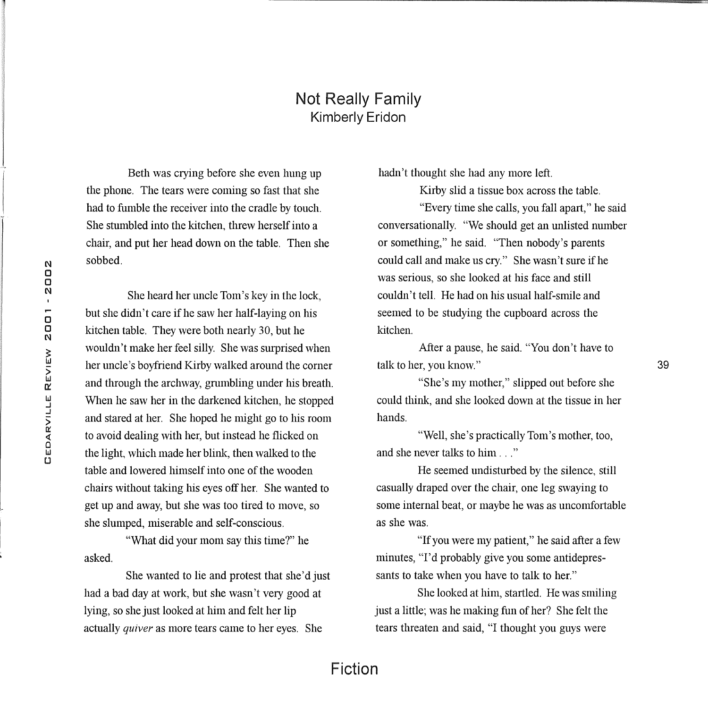## Not Really Family Kimberly Eridon

Beth was crying before she even hung up the phone. The tears were coming so fast that she had to fumble the receiver into the cradle by touch. She stumbled into the kitchen, threw herself into a chair, and put her head down on the table. Then she sobbed.

She heard her uncle Tom's key in the lock, but she didn't care if he saw her half-laying on his kitchen table. They were both nearly 30, but he wouldn't make her feel silly. She was surprised when her uncle's boyfriend Kirby walked around the corner and through the archway, grumbling under his breath. When he saw her in the darkened kitchen, he stopped and stared at her. She hoped he might go to his room to avoid dealing with her, but instead he flicked on the light, which made her blink, then walked to the table and lowered himself into one of the wooden chairs without taking his eyes off her. She wanted to get up and away, but she was too tired to move, so she slumped, miserable and self-conscious.

"What did your mom say this time?" he asked.

She wanted to lie and protest that she'd just had a bad day at work, but she wasn't very good at lying, so she just looked at him and felt her lip actually *quiver* as more tears came to her eyes. She

hadn't thought she had any more left.

Kirby slid a tissue box across the table.

"Every time she calls, you fall apart," he said conversationally. "We should get an unlisted number or something," he said. "Then nobody's parents could call and make us cry." She wasn't sure if he was serious, so she looked at his face and still couldn't tell. He had on his usual half-smile and seemed to be studying the cupboard across the kitchen.

After a pause, he said. "You don't have to talk to her, you know."

39

"She's my mother," slipped out before she could think, and she looked down at the tissue in her hands.

"Well, she's practically Tom's mother, too, and she never talks to him . . . "

He seemed undisturbed by the silence, still casually draped over the chair, one leg swaying to some internal beat, or maybe he was as uncomfortable as she was.

"If you were my patient," he said after a few minutes, ''I'd probably give you some antidepressants to take when you have to talk to her."

She looked at him, startled. He was smiling just a little; was he making fun of her? She felt the tears threaten and said, "I thought you guys were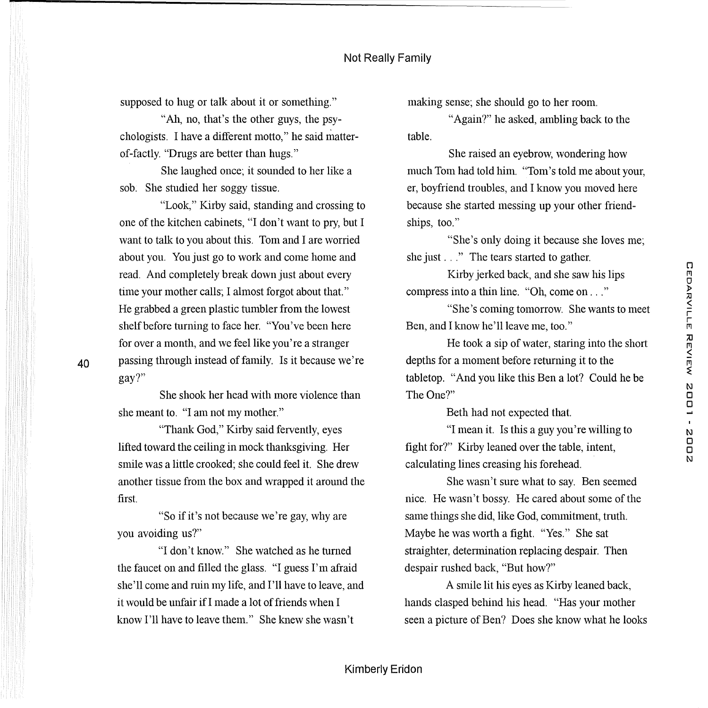supposed to hug or talk about it or something."

"Ah, no, that's the other guys, the psychologists. I have a different motto," he said matterof-factly. "Drugs are better than hugs."

She laughed once; it sounded to her like a sob. She studied her soggy tissue.

"Look," Kirby said, standing and crossing to one of the kitchen cabinets, "I don't want to pry, but I want to talk to you about this. Tom and I are worried about you. You just go to work and come home and read. And completely break down just about every time your mother calls; I almost forgot about that." He grabbed a green plastic tumbler from the lowest shelf before turning to face her. "You've been here for over a month, and we feel like you're a stranger passing through instead of family. Is it because we're gay?"

She shook her head with more violence than she meant to. "I am not my mother."

40

"Thank God," Kirby said fervently, eyes lifted toward the ceiling in mock thanksgiving. Her smile was a little crooked; she could feel it. She drew another tissue from the box and wrapped it around the first.

"So if it's not because we're gay, why are you avoiding us?"

"I don't know." She watched as he turned the faucet on and filled the glass. "I guess I'm afraid she'll come and ruin my life, and I'll have to leave, and it would be unfair if I made a lot of friends when I know I'll have to leave them." She knew she wasn't

making sense; she should go to her room.

"Again?" he asked, ambling back to the table.

She raised an eyebrow, wondering how much Tom had told him. "Tom's told me about your, er, boyfriend troubles, and I know you moved here because she started messing up your other friendships, too."

"She's only doing it because she loves me; she just . . ." The tears started to gather.

Kirby jerked back, and she saw his lips compress into a thin line. "Oh, come on ... "

"She's coming tomorrow. She wants to meet Ben, and I know he'll leave me, too."

He took a sip of water, staring into the short depths for a moment before returning it to the tabletop. "And you like this Ben a lot? Could he be The One?"

Beth had not expected that.

"I mean it. Is this a guy you're willing to fight for?" Kirby leaned over the table, intent, calculating lines creasing his forehead.

She wasn't sure what to say. Ben seemed nice. He wasn't bossy. He cared about some of the same things she did, like God, commitment, truth. Maybe he was worth a fight. "Yes." She sat straighter, detennination replacing despair. Then despair rushed back, "But how?"

A smile lit his eyes as Kirby leaned back, hands clasped behind his head. "Has your mother seen a picture of Ben? Does she know what he looks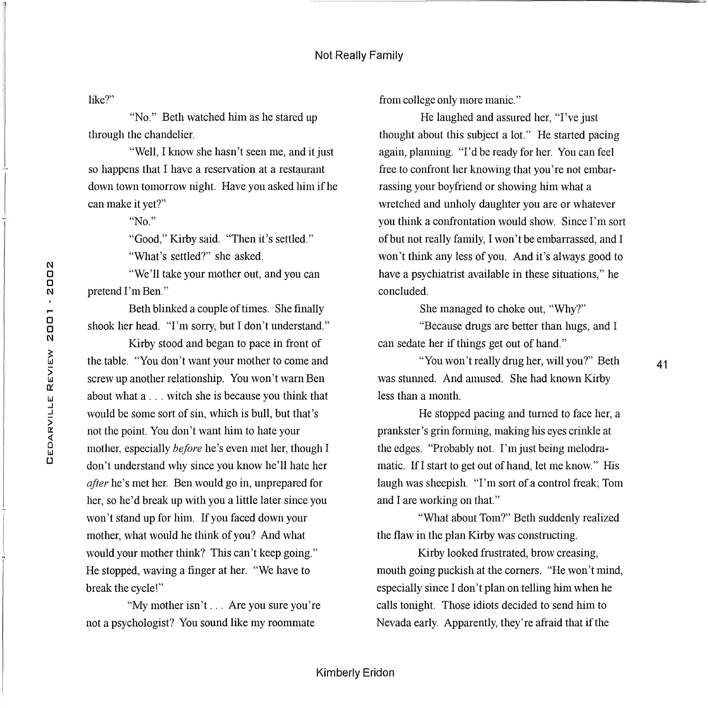like?"

"No." Beth watched him as he stared up through the chandelier.

"Well, I know she hasn't seen me, and it just so happens that I have a reservation at a restaurant down town tomorrow night. Have you asked him if he can make it yet?"

"No."

"Good," Kirby said. "Then it's settled."

"What's settled?" she asked.

"We'll take your mother out, and you can pretend I'm Ben."

Beth blinked a couple of times. She finally shook her head. "I'm sorry, but I don't understand."

Kirby stood and began to pace in front of the table. "You don't want your mother to come and screw up another relationship. You won't warn Ben about what a ... witch she is because you think that would be some sort of sin, which is bull, but that's not the point. You don't want him to hate your mother, especially *before* he's even met her, though I don't understand why since you know he'll hate her *after* he's met her. Ben would go in, unprepared for her, so he'd break up with you a little later since you won't stand up for him. If you faced down your mother, what would he think of you? And what would your mother think? This can't keep going." He stopped, waving a finger at her. "We have to break the cycle!"

"My mother isn't ... Are you sure you're not a psychologist? You sound like my roommate

from college only more manic."

He laughed and assured her, "I've just thought about this subject a lot." He started pacing again, planning. "I'd be ready for her. You can feel free to confront her knowing that you're not embarrassing your boyfriend or showing him what a wretched and unholy daughter you are or whatever you think a confrontation would show. Since I'm sort of but not really family, I won't be embarrassed, and I won't think any less of you. And it's always good to have a psychiatrist available in these situations." he concluded.

She managed to choke out, "Why?"

"Because drngs are better than hugs, and I can sedate her if things get out of hand."

"You won't really drug her, will you?" Beth was stunned. And amused. She had known Kirby less than a month.

41

He stopped pacing and turned to face her, a prankster's grin fonning, making his eyes crinkle at the edges. "Probably not. I'm just being melodramatic. Ifl start to get out of hand, let me know." His laugh was sheepish. "I'm sort of a control freak; Tom and I are working on that."

"What about Tom?" Beth suddenly realized the flaw in the plan Kirby was constructing.

Kirby looked frustrated, brow creasing, mouth going puckish at the corners. "He won't mind, especially since I don't plan on telling him when he calls tonight. Those idiots decided to send him to Nevada early. Apparently, they're afraid that if the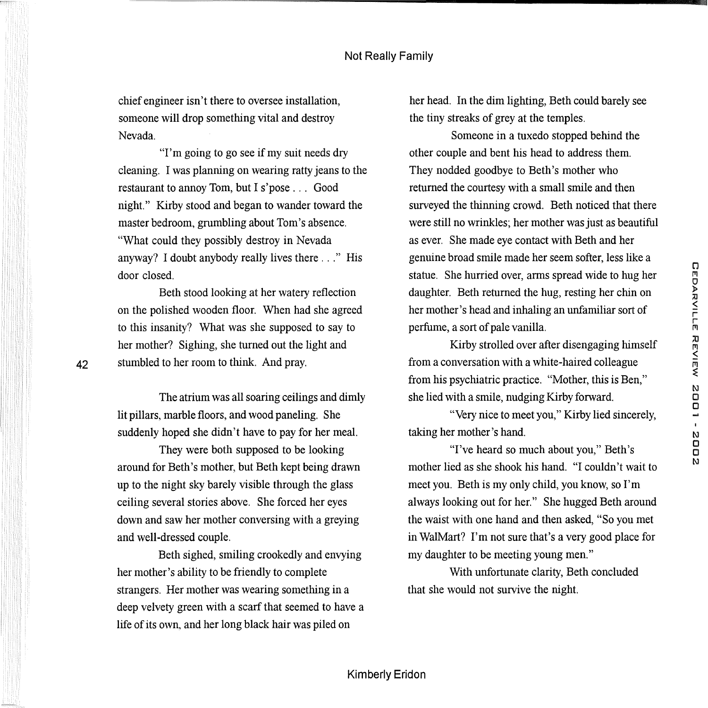chief engineer isn't there to oversee installation, someone will drop something vital and destroy Nevada.

"I'm going to go see if my suit needs dry cleaning. I was planning on wearing ratty jeans to the restaurant to annoy Tom, but I s'pose ... Good night." Kirby stood and began to wander toward the master bedroom, grumbling about Tom's absence. "What could they possibly destroy in Nevada anyway? I doubt anybody really lives there ... " His door closed.

Beth stood looking at her watery reflection on the polished wooden floor. When had she agreed to this insanity? What was she supposed to say to her mother? Sighing, she turned out the light and stumbled to her room to think. And pray.

The atrium was all soaring ceilings and dimly lit pillars, marble floors, and wood paneling. She suddenly hoped she didn't have to pay for her meal.

They were both supposed to be looking around for Beth's mother, but Beth kept being drawn up to the night sky barely visible through the glass ceiling several stories above. She forced her eyes down and saw her mother conversing with a greying and well-dressed couple.

Beth sighed, smiling crookedly and envying her mother's ability to be friendly to complete strangers. Her mother was wearing something in a deep velvety green with a scarf that seemed to have a life of its own, and her long black hair was piled on

her head. In the dim lighting, Beth could barely see the tiny streaks of grey at the temples.

Someone in a tuxedo stopped behind the other couple and bent his head to address them. They nodded goodbye to Beth's mother who returned the courtesy with a small smile and then surveyed the thinning crowd. Beth noticed that there were still no wrinkles; her mother was just as beautiful as ever. She made eye contact with Beth and her genuine broad smile made her seem softer, less like a statue. She hurried over, arms spread wide to hug her daughter. Beth returned the hug, resting her chin on her mother's head and inhaling an unfamiliar sort of perfume, a sort of pale vanilla.

Kirby strolled over after disengaging himself from a conversation with a white-haired colleague from his psychiatric practice. "Mother, this is Ben," she lied with a smile, nudging Kirby forward.

"Very nice to meet you," Kirby lied sincerely, taking her mother's hand.

"I've heard so much about you," Beth's mother lied as she shook his hand. "I couldn't wait to meet you. Beth is my only child, you know, so I'm always looking out for her." She hugged Beth around the waist with one hand and then asked, "So you met in WalMart? I'm not sure that's a very good place for my daughter to be meeting young men."

With unfortunate clarity, Beth concluded that she would not survive the night.

42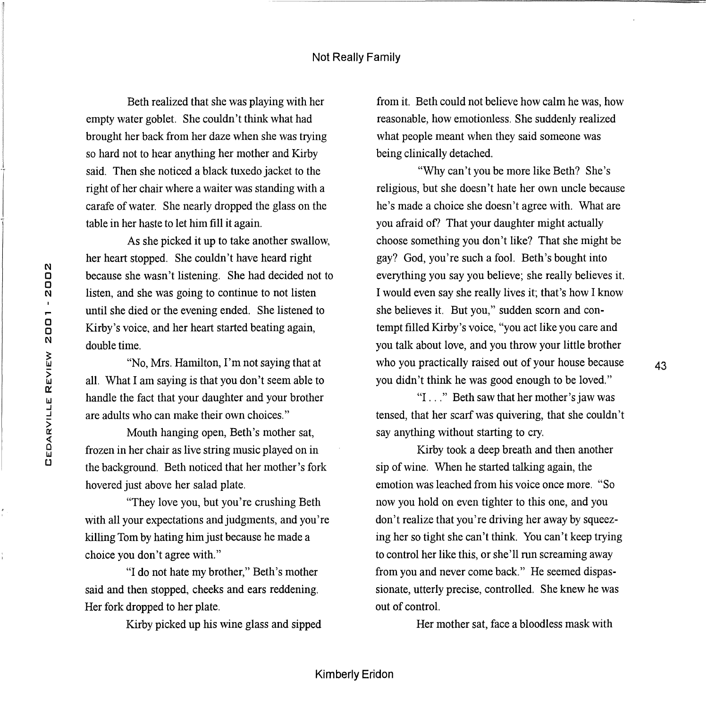Beth realized that she was playing with her empty water goblet. She couldn't think what had brought her back from her daze when she was trying so hard not to hear anything her mother and Kirby said. Then she noticed a black tuxedo jacket to the right of her chair where a waiter was standing with a carafe of water. She nearly dropped the glass on the table in her haste to let him fill it again.

As she picked it up to take another swallow, her heart stopped. She couldn't have heard right because she wasn't listening. She had decided not to listen, and she was going to continue to not listen until she died or the evening ended. She listened to Kirby's voice, and her heart started beating again, double time.

"No, Mrs. Hamilton, I'm not saying that at all. What I am saying is that you don't seem able to handle the fact that your daughter and your brother are adults who can make their own choices."

Mouth hanging open, Beth's mother sat, frozen in her chair as live string music played on in the background. Beth noticed that her mother's fork hovered just above her salad plate.

"They love you, but you're crushing Beth with all your expectations and judgments, and you're killing Tom by hating him just because he made a choice you don't agree with."

"I do not hate my brother," Beth's mother said and then stopped, cheeks and ears reddening. Her fork dropped to her plate.

Kirby picked up his wine glass and sipped

from it. Beth could not believe how calm he was, how reasonable, how emotionless. She suddenly realized what people meant when they said someone was being clinically detached.

"Why can't you be more like Beth? She's religious, but she doesn't hate her own uncle because he's made a choice she doesn't agree with. What are you afraid of? That your daughter might actually choose something you don't like? That she might be gay? God, you' re such a fool. Beth's bought into everything you say you believe; she really believes it. I would even say she really lives it; that's how I know she believes it. But you," sudden scorn and contempt filled Kirby's voice, "you act like you care and you talk about love, and you throw your little brother who you practically raised out of your house because you didn't think he was good enough to be loved."

"I ..." Beth saw that her mother's jaw was tensed, that her scarf was quivering, that she couldn't say anything without starting to cry.

43

Kirby took a deep breath and then another sip of wine. When he started talking again, the emotion was leached from his voice once more. "So now you hold on even tighter to this one, and you don't realize that you're driving her away by squeezing her so tight she can't think. You can't keep trying to control her like this, or she' 11 run screaming away from you and never come back." He seemed dispassionate, utterly precise, controlled. She knew he was out of control.

Her mother sat, face a bloodless mask with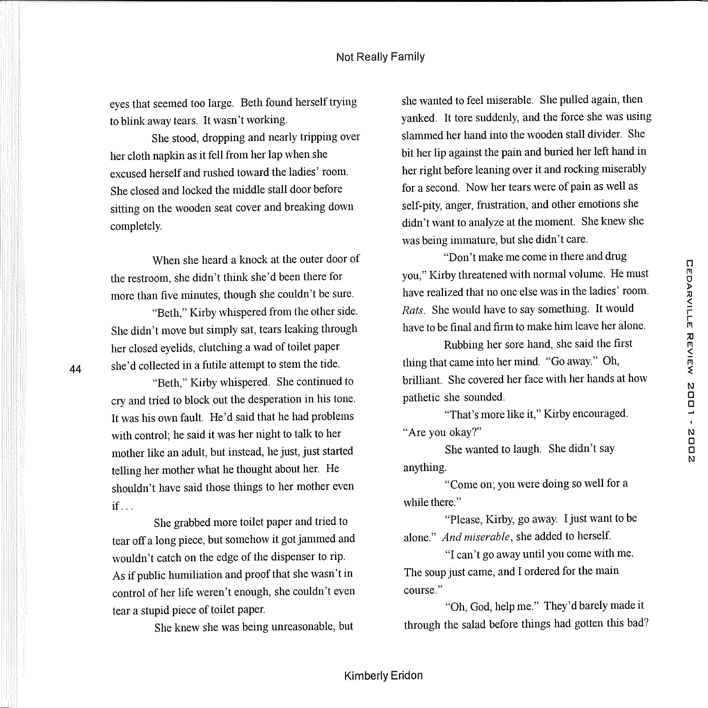eyes that seemed too large. Beth found herself trying to blink away tears. It wasn't working.

She stood, dropping and nearly tripping over her cloth napkin as it fell from her lap when she excused herself and rnshed toward the ladies' room. She closed and locked the middle stall door before sitting on the wooden seat cover and breaking down completely.

When she heard a knock at the outer door of the restroom, she didn't think she'd been there for more than five minutes, though she couldn't be sure.

"Beth," Kirby whispered from the other side. She didn't move but simply sat, tears leaking through her closed eyelids, clutching a wad of toilet paper she'd collected in a futile attempt to stem the tide.

44

"Beth," Kirby whispered. She continued to cry and tried to block out the desperation in his tone. It was his own fault. He'd said that he had problems with control; he said it was her night to talk to her mother like an adult, but instead, he just, just started telling her mother what he thought about her. He shouldn't have said those things to her mother even  $if...$ 

She grabbed more toilet paper and tried to tear off a long piece, but somehow it got jammed and wouldn't catch on the edge of the dispenser to rip. As if public humiliation and proof that she wasn't in control of her life weren't enough, she couldn't even tear a stupid piece of toilet paper.

She knew she was being unreasonable, but

she wanted to feel miserable. She pulled again, then yanked. It tore suddenly, and the force she was using slammed her hand into the wooden stall divider. She bit her lip against the pain and buried her left hand in her right before leaning over it and rocking miserably for a second. Now her tears were of pain as well as self-pity, anger, frustration, and other emotions she didn't want to analyze at the moment. She knew she was being immature, but she didn't care.

"Don't make me come in there and drng you," Kirby threatened with normal volume. He must have realized that no one else was in the ladies' room. *Rats.* She would have to say something. It would have to be final and firm to make him leave her alone.

Rubbing her sore hand, she said the first thing that came into her mind. "Go away." Oh, brilliant. She covered her face with her hands at how pathetic she sounded.

"That's more like it," Kirby encouraged. "Are you okay?"

She wanted to laugh. She didn't say anything.

"Come on; you were doing so well for a while there."

"Please, Kirby, go away. I just want to be alone." *And miserable,* she added to herself.

"I can't go away until you come with me. The soup just came, and I ordered for the main course."

"Oh, God, help me." They'd barely made it through the salad before things had gotten this bad?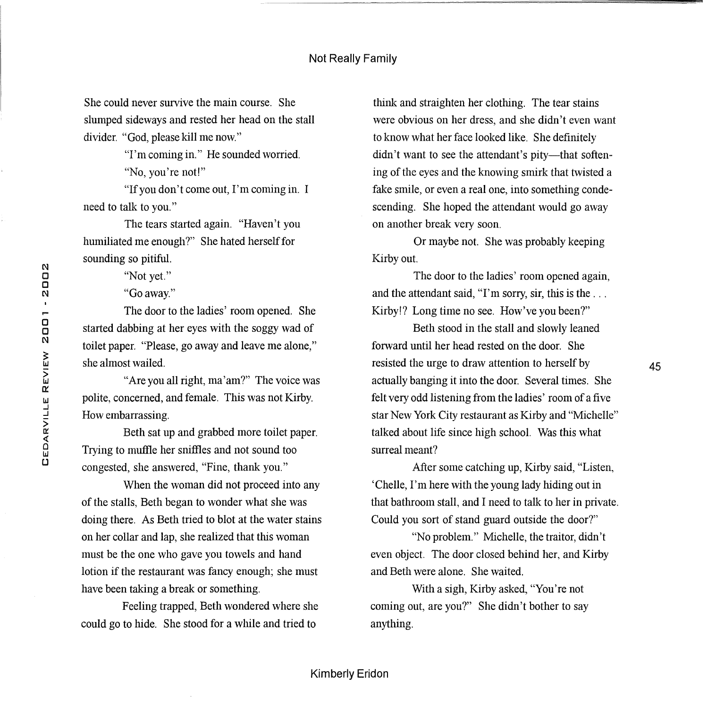#### Not Really Family

She could never survive the main course. She slumped sideways and rested her head on the stall divider. "God, please kill me now."

"I'm coming in." He sounded worried.

"No, you're not!"

"If you don't come out, I'm coming in. I need to talk to you."

The tears started again. "Haven't you humiliated me enough?" She hated herself for sounding so pitiful.

"Not yet."

"Go away."

The door to the ladies' room opened. She started dabbing at her eyes with the soggy wad of toilet paper. "Please, go away and leave me alone," she almost wailed.

"Are you all right, ma' am?" The voice was polite, concerned, and female. This was not Kirby. How embarrassing.

Beth sat up and grabbed more toilet paper. Trying to muftle her sniffles and not sound too congested, she answered, "Fine, thank you."

When the woman did not proceed into any of the stalls, Beth began to wonder what she was doing there. As Beth tried to blot at the water stains on her collar and lap, she realized that this woman must be the one who gave you towels and hand lotion if the restaurant was fancy enough; she must have been taking a break or something.

Feeling trapped, Beth wondered where she could go to hide. She stood for a while and tried to

think and straighten her clothing. The tear stains were obvious on her dress, and she didn't even want to know what her face looked like. She definitely didn't want to see the attendant's pity—that softening of the eyes and the knowing smirk that twisted a fake smile, or even a real one, into something condescending. She hoped the attendant would go away on another break very soon.

Or maybe not. She was probably keeping Kirby out.

The door to the ladies' room opened again, and the attendant said, "I'm sorry, sir, this is the ... Kirby!? Long time no see. How've you been?"

Beth stood in the stall and slowly leaned forward until her head rested on the door. She resisted the urge to draw attention to herself by actually banging it into the door. Several times. She felt very odd listening from the ladies' room of a five star New York City restaurant as Kirby and "Michelle" talked about life since high school. Was this what surreal meant?

45

After some catching up, Kirby said, "Listen, 'Chelle, I'm here with the young lady hiding out in that bathroom stall, and I need to talk to her in private. Could you sort of stand guard outside the door?"

"No problem." Michelle, the traitor, didn't even object. The door closed behind her, and Kirby and Beth were alone. She waited.

With a sigh, Kirby asked, "You're not coming out, are you?" She didn't bother to say anything.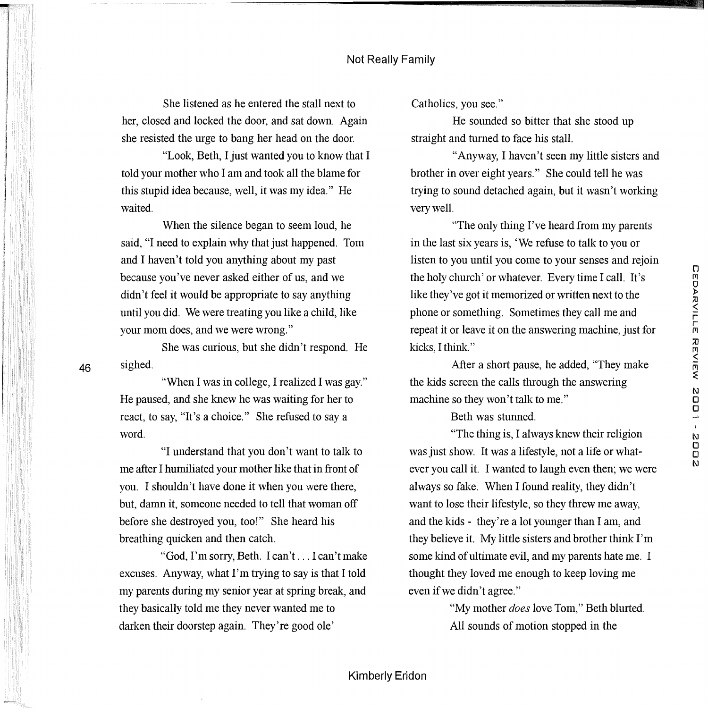She listened as he entered the stall next to her, closed and locked the door, and sat down. Again she resisted the urge to bang her head on the door.

"Look, Beth, I just wanted you to know that I told your mother who I am and took all the blame for this stupid idea because, well, it was my idea." He waited.

When the silence began to seem loud, he said, "I need to explain why that just happened. Tom and I haven't told you anything about my past because you've never asked either of us, and we didn't feel it would be appropriate to say anything until you did. We were treating you like a child, like your mom does, and we were wrong."

She was curious, but she didn't respond. He sighed.

"When I was in college, I realized I was gay." He paused, and she knew he was waiting for her to react, to say, "It's a choice." She refused to say a word.

46

"I understand that you don't want to talk to me after I humiliated your mother like that in front of you. I shouldn't have done it when you were there, but, damn it, someone needed to tell that woman off before she destroyed you, too!" She heard his breathing quicken and then catch.

"God, I'm sorry, Beth. I can't ... I can't make excuses. Anyway, what I'm trying to say is that I told my parents during my senior year at spring break, and they basically told me they never wanted me to darken their doorstep again. They're good ole'

Catholics, you see."

He sounded so bitter that she stood up straight and turned to face his stall.

"Anyway, I haven't seen my little sisters and brother in over eight years." She could tell he was trying to sound detached again, but it wasn't working very well.

"The only thing I've heard from my parents in the last six years is, 'We refuse to talk to you or listen to you until you come to your senses and rejoin the holy church' or whatever. Every time I call. It's like they've got it memorized or written next to the phone or something. Sometimes they call me and repeat it or leave it on the answering machine, just for kicks, I think."

After a short pause, he added, "They make the kids screen the calls through the answering machine so they won't talk to me."

Beth was stunned.

"The thing is, I always knew their religion was just show. It was a lifestyle, not a life or whatever you call it. I wanted to laugh even then; we were always so fake. When I found reality, they didn't want to lose their lifestyle, so they threw me away, and the kids - they're a lot younger than I am, and they believe it. My little sisters and brother think  $\Gamma$ m some kind of ultimate evil, and my parents hate me. I thought they loved me enough to keep loving me even if we didn't agree."

> "My mother *does* love Tom," Beth blurted. All sounds of motion stopped in the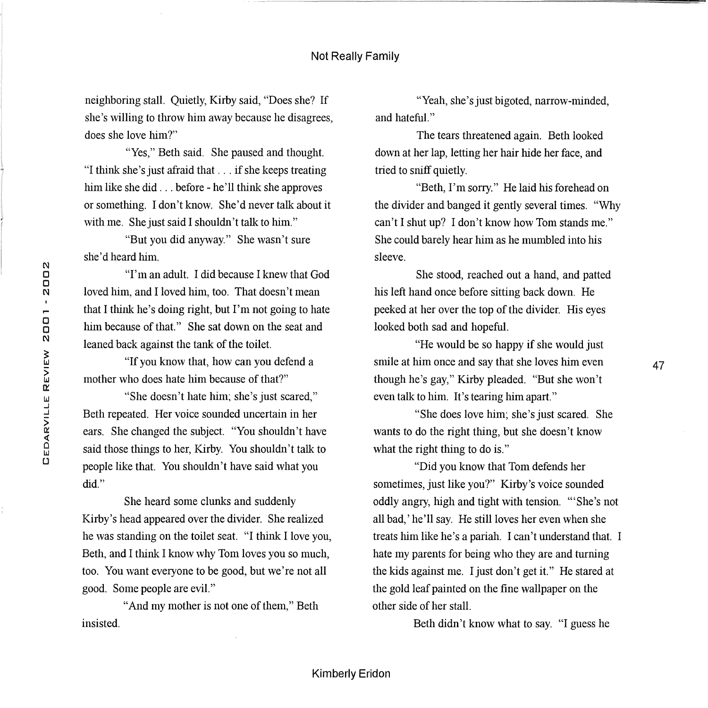neighboring stall. Quietly, Kirby said, "Does she? If she's willing to throw him away because he disagrees, does she love him?"

"Yes," Beth said. She paused and thought. "I think she's just afraid that . . . if she keeps treating him like she did . . . before - he'll think she approves or something. I don't know. She'd never talk about it with me. She just said I shouldn't talk to him."

"But you did anyway." She wasn't sure she'd heard him.

''I'm an adult. I did because I knew that God loved him, and I loved him, too. That doesn't mean that I think he's doing right, but I'm not going to hate him because of that." She sat down on the seat and leaned back against the tank of the toilet.

"If you know that, how can you defend a mother who does hate him because of that?"

''She doesn't hate him; she's just scared," Beth repeated. Her voice sounded uncertain in her ears. She changed the subject. "You shouldn't have said those things to her, Kirby. You shouldn't talk to people like that. You shouldn't have said what you did."

She heard some clunks and suddenly Kirby's head appeared over the divider. She realized he was standing on the toilet seat. "I think I love you, Beth, and I think I know why Tom loves you so much, too. You want everyone to be good, but we're not all good. Some people are evil."

"And my mother is not one of them," Beth insisted.

"Yeah, she's just bigoted, narrow-minded, and hateful."

The tears threatened again. Beth looked down at her lap, letting her hair hide her face, and tried to sniff quietly.

"Beth, I'm sorry." He laid his forehead on the divider and banged it gently several times. "Why can't I shut up? I don't know how Tom stands me." She could barely hear him as he mumbled into his sleeve.

She stood, reached out a hand, and patted his left hand once before sitting back down. He peeked at her over the top of the divider. His eyes looked both sad and hopeful.

"He would be so happy if she would just smile at him once and say that she loves him even though he's gay," Kirby pleaded. "But she won't even talk to him. It's tearing him apart."

"She does love him; she's just scared. She wants to do the right thing, but she doesn't know what the right thing to do is."

"Did you know that Tom defends her sometimes, just like you?" Kirby's voice sounded oddly angry, high and tight with tension. "'She's not all bad,' he'll say. He still loves her even when she treats him like he's a pariah. I can't understand that. I hate my parents for being who they are and turning the kids against me. I just don't get it." He stared at the gold leaf painted on the fine wallpaper on the other side of her stall.

Beth didn't know what to say. "I guess he